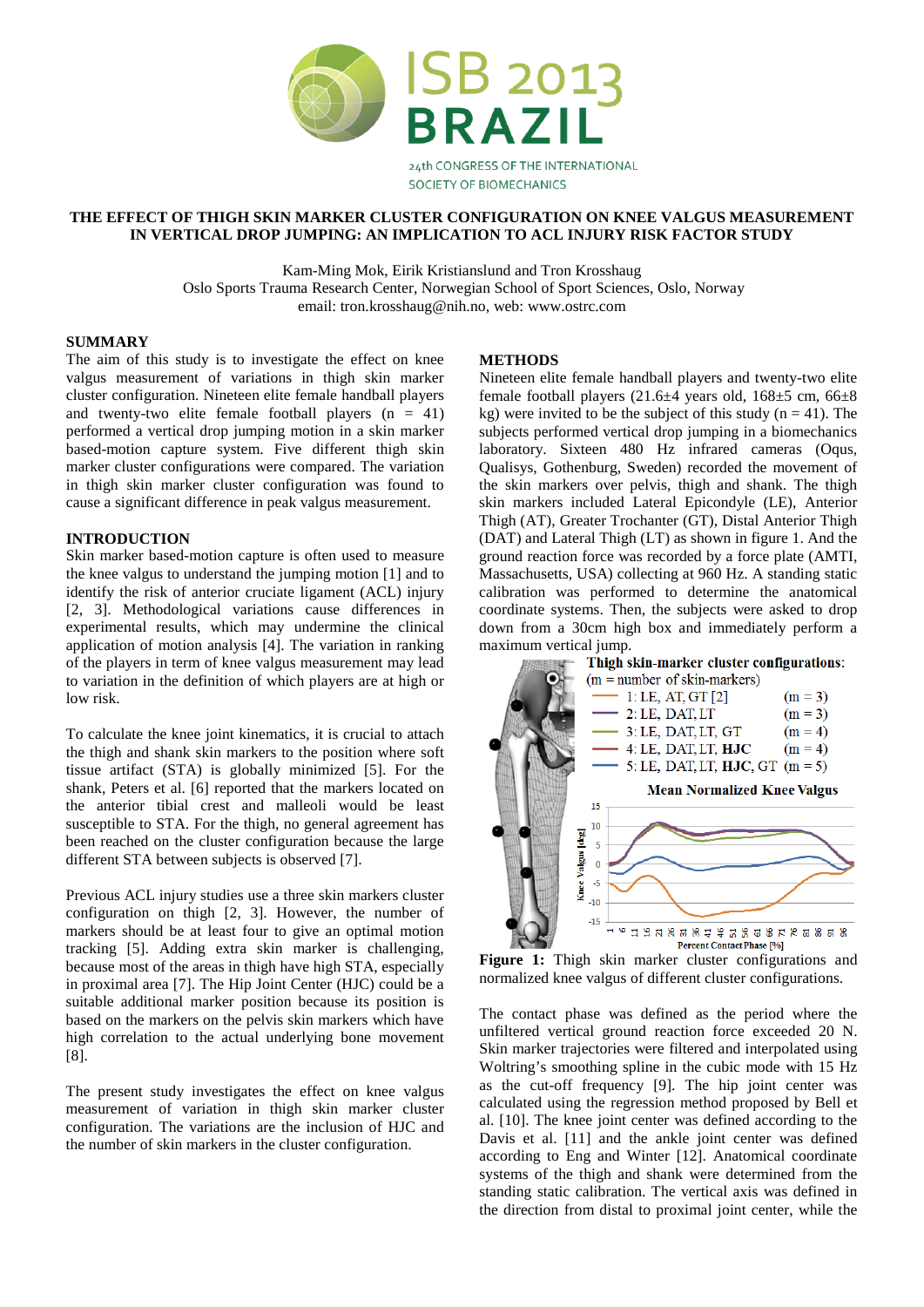

# **THE EFFECT OF THIGH SKIN MARKER CLUSTER CONFIGURATION ON KNEE VALGUS MEASUREMENT IN VERTICAL DROP JUMPING: AN IMPLICATION TO ACL INJURY RISK FACTOR STUDY**

Kam-Ming Mok, Eirik Kristianslund and Tron Krosshaug

Oslo Sports Trauma Research Center, Norwegian School of Sport Sciences, Oslo, Norway email: tron.krosshaug@nih.no, web: www.ostrc.com

#### **SUMMARY**

The aim of this study is to investigate the effect on knee valgus measurement of variations in thigh skin marker cluster configuration. Nineteen elite female handball players and twenty-two elite female football players  $(n = 41)$ performed a vertical drop jumping motion in a skin marker based-motion capture system. Five different thigh skin marker cluster configurations were compared. The variation in thigh skin marker cluster configuration was found to cause a significant difference in peak valgus measurement.

# **INTRODUCTION**

Skin marker based-motion capture is often used to measure the knee valgus to understand the jumping motion [1] and to identify the risk of anterior cruciate ligament (ACL) injury [2, 3]. Methodological variations cause differences in experimental results, which may undermine the clinical application of motion analysis [4]. The variation in ranking of the players in term of knee valgus measurement may lead to variation in the definition of which players are at high or low risk.

To calculate the knee joint kinematics, it is crucial to attach the thigh and shank skin markers to the position where soft tissue artifact (STA) is globally minimized [5]. For the shank, Peters et al. [6] reported that the markers located on the anterior tibial crest and malleoli would be least susceptible to STA. For the thigh, no general agreement has been reached on the cluster configuration because the large different STA between subjects is observed [7].

Previous ACL injury studies use a three skin markers cluster configuration on thigh [2, 3]. However, the number of markers should be at least four to give an optimal motion tracking [5]. Adding extra skin marker is challenging, because most of the areas in thigh have high STA, especially in proximal area [7]. The Hip Joint Center (HJC) could be a suitable additional marker position because its position is based on the markers on the pelvis skin markers which have high correlation to the actual underlying bone movement [8].

The present study investigates the effect on knee valgus measurement of variation in thigh skin marker cluster configuration. The variations are the inclusion of HJC and the number of skin markers in the cluster configuration.

#### **METHODS**

Nineteen elite female handball players and twenty-two elite female football players  $(21.6\pm4)$  years old,  $168\pm5$  cm,  $66\pm8$ kg) were invited to be the subject of this study ( $n = 41$ ). The subjects performed vertical drop jumping in a biomechanics laboratory. Sixteen 480 Hz infrared cameras (Oqus, Qualisys, Gothenburg, Sweden) recorded the movement of the skin markers over pelvis, thigh and shank. The thigh skin markers included Lateral Epicondyle (LE), Anterior Thigh (AT), Greater Trochanter (GT), Distal Anterior Thigh (DAT) and Lateral Thigh (LT) as shown in figure 1. And the ground reaction force was recorded by a force plate (AMTI, Massachusetts, USA) collecting at 960 Hz. A standing static calibration was performed to determine the anatomical coordinate systems. Then, the subjects were asked to drop down from a 30cm high box and immediately perform a maximum vertical jump.<br> **Thigh skin-marker cluster configurations:** 



Figure 1: Thigh skin marker cluster configurations and normalized knee valgus of different cluster configurations.

The contact phase was defined as the period where the unfiltered vertical ground reaction force exceeded 20 N. Skin marker trajectories were filtered and interpolated using Woltring's smoothing spline in the cubic mode with 15 Hz as the cut-off frequency [9]. The hip joint center was calculated using the regression method proposed by Bell et al. [10]. The knee joint center was defined according to the Davis et al. [11] and the ankle joint center was defined according to Eng and Winter [12]. Anatomical coordinate systems of the thigh and shank were determined from the standing static calibration. The vertical axis was defined in the direction from distal to proximal joint center, while the